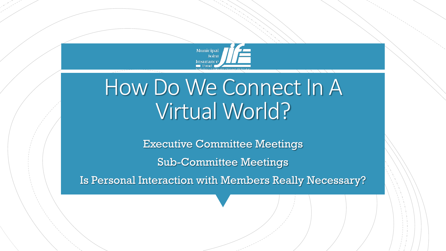

# How Do We Connect In A Virtual World?

Executive Committee Meetings

Sub-Committee Meetings

Is Personal Interaction with Members Really Necessary?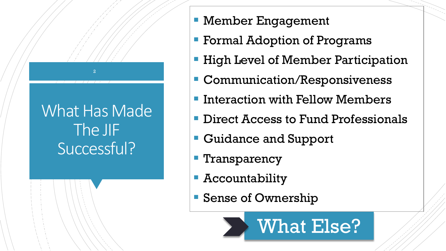# What Has Made The JIF Successful?

- Member Engagement
- Formal Adoption of Programs
- High Level of Member Participation
- **Communication/Responsiveness**
- Interaction with Fellow Members
- Direct Access to Fund Professionals
- Guidance and Support
- Transparency
- Accountability
- Sense of Ownership

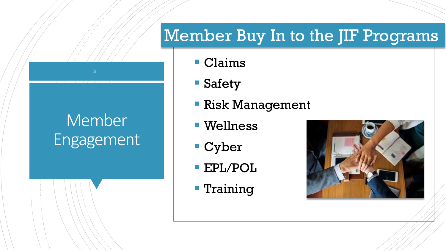#### Member Buy In to the JIF Programs

# Member Engagement

- Claims
- Safety
- Risk Management
- Wellness
- Cyber
- EPL/POL
- **Training**

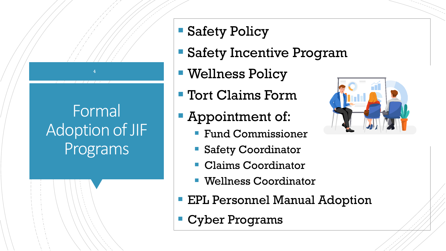# Formal Adoption of JIF Programs

- Safety Policy
- Safety Incentive Program
- Wellness Policy
- Tort Claims Form
- Appointment of:
	- **Fund Commissioner**
	- **Safety Coordinator**
	- Claims Coordinator
	- Wellness Coordinator
- EPL Personnel Manual Adoption
- Cyber Programs

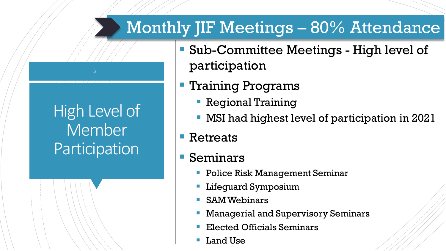#### Monthly JIF Meetings – 80% Attendance

- Sub-Committee Meetings High level of participation
	- Training Programs
		- **Regional Training**
		- MSI had highest level of participation in 2021
	- Retreats

High Level of

5

**Member** 

Participation

- Seminars
	- Police Risk Management Seminar
	- Lifeguard Symposium
	- SAM Webinars
	- Managerial and Supervisory Seminars
	- Elected Officials Seminars
	- Land Use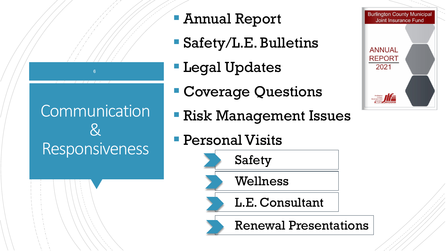# Communication & Responsiveness

- Annual Report
- Safety/L.E. Bulletins
- **Legal Updates**
- Coverage Questions
- Risk Management Issues
- **Personal Visits**



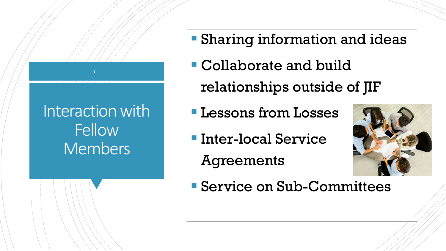#### Interaction with Fellow Members

7

- Sharing information and ideas
- Collaborate and build relationships outside of JIF
- **Lessons from Losses**
- Inter-local Service
	- Agreements



Service on Sub-Committees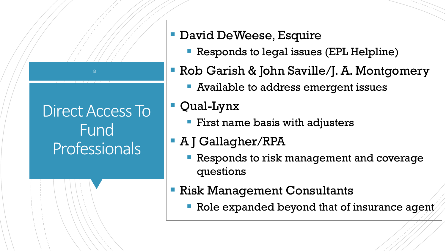# Direct Access To Fund Professionals

8

#### **David DeWeese, Esquire**

- **Responds to legal issues (EPL Helpline)**
- Rob Garish & John Saville/J. A. Montgomery
	- Available to address emergent issues
- Qual-Lynx
	- **First name basis with adjusters**
- A J Gallagher/RPA
	- Responds to risk management and coverage questions
- Risk Management Consultants
	- Role expanded beyond that of insurance agent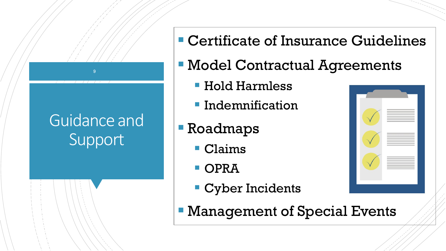#### Guidance and **Support**

- Certificate of Insurance Guidelines
- Model Contractual Agreements
	- Hold Harmless
	- **Indemnification**
- Roadmaps
	- Claims
	- **OPRA**
	- **Cyber Incidents**
- Management of Special Events

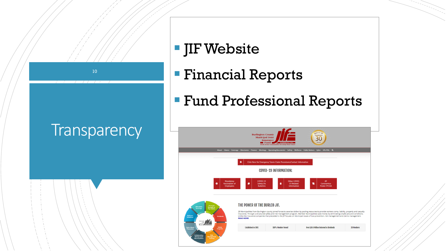

#### **IF Website**

- Financial Reports
- Fund Professional Reports

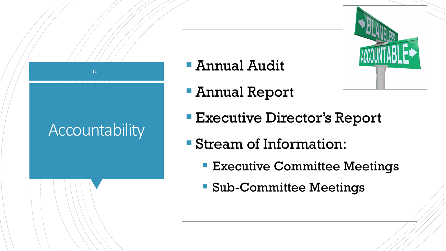# Accountability

11

#### Annual Audit

- Annual Report
- **Executive Director's Report**
- Stream of Information:
	- **Executive Committee Meetings**
	- Sub-Committee Meetings

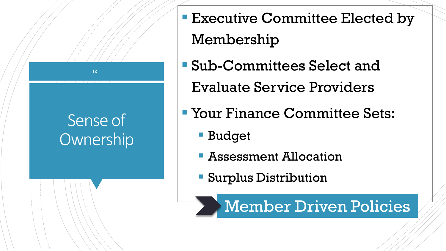

- **Executive Committee Elected by** Membership
- Sub-Committees Select and Evaluate Service Providers
- Your Finance Committee Sets:
	- **Budget**
	- **Assessment Allocation**
	- Surplus Distribution

Member Driven Policies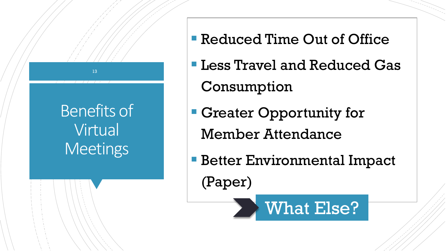

- Reduced Time Out of Office
- Less Travel and Reduced Gas Consumption
- Greater Opportunity for Member Attendance
- **Better Environmental Impact** (Paper)